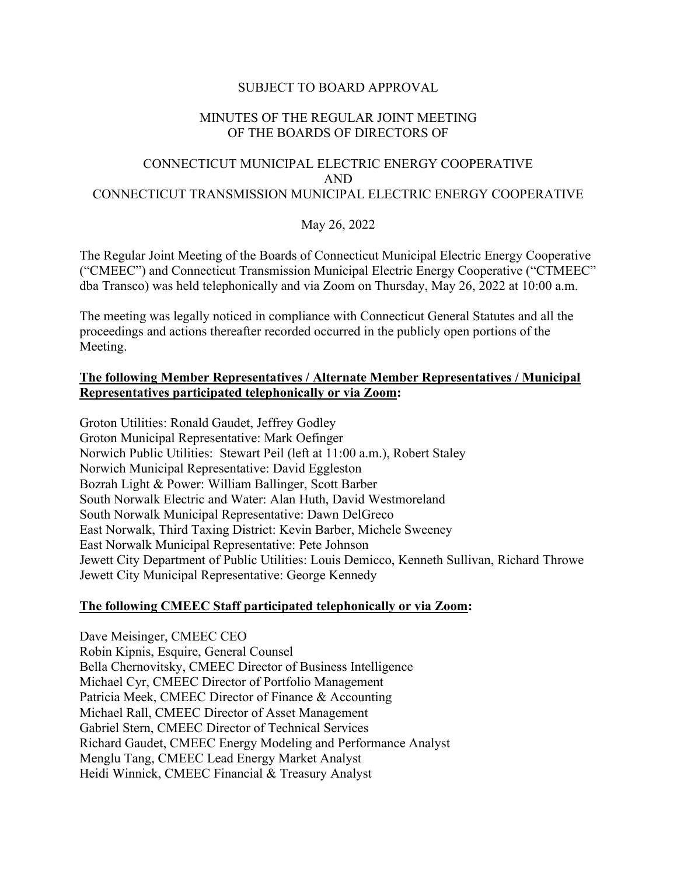## SUBJECT TO BOARD APPROVAL

## MINUTES OF THE REGULAR JOINT MEETING OF THE BOARDS OF DIRECTORS OF

# CONNECTICUT MUNICIPAL ELECTRIC ENERGY COOPERATIVE AND CONNECTICUT TRANSMISSION MUNICIPAL ELECTRIC ENERGY COOPERATIVE

## May 26, 2022

The Regular Joint Meeting of the Boards of Connecticut Municipal Electric Energy Cooperative ("CMEEC") and Connecticut Transmission Municipal Electric Energy Cooperative ("CTMEEC" dba Transco) was held telephonically and via Zoom on Thursday, May 26, 2022 at 10:00 a.m.

The meeting was legally noticed in compliance with Connecticut General Statutes and all the proceedings and actions thereafter recorded occurred in the publicly open portions of the Meeting.

## **The following Member Representatives / Alternate Member Representatives / Municipal Representatives participated telephonically or via Zoom:**

Groton Utilities: Ronald Gaudet, Jeffrey Godley Groton Municipal Representative: Mark Oefinger Norwich Public Utilities: Stewart Peil (left at 11:00 a.m.), Robert Staley Norwich Municipal Representative: David Eggleston Bozrah Light & Power: William Ballinger, Scott Barber South Norwalk Electric and Water: Alan Huth, David Westmoreland South Norwalk Municipal Representative: Dawn DelGreco East Norwalk, Third Taxing District: Kevin Barber, Michele Sweeney East Norwalk Municipal Representative: Pete Johnson Jewett City Department of Public Utilities: Louis Demicco, Kenneth Sullivan, Richard Throwe Jewett City Municipal Representative: George Kennedy

## **The following CMEEC Staff participated telephonically or via Zoom:**

Dave Meisinger, CMEEC CEO Robin Kipnis, Esquire, General Counsel Bella Chernovitsky, CMEEC Director of Business Intelligence Michael Cyr, CMEEC Director of Portfolio Management Patricia Meek, CMEEC Director of Finance & Accounting Michael Rall, CMEEC Director of Asset Management Gabriel Stern, CMEEC Director of Technical Services Richard Gaudet, CMEEC Energy Modeling and Performance Analyst Menglu Tang, CMEEC Lead Energy Market Analyst Heidi Winnick, CMEEC Financial & Treasury Analyst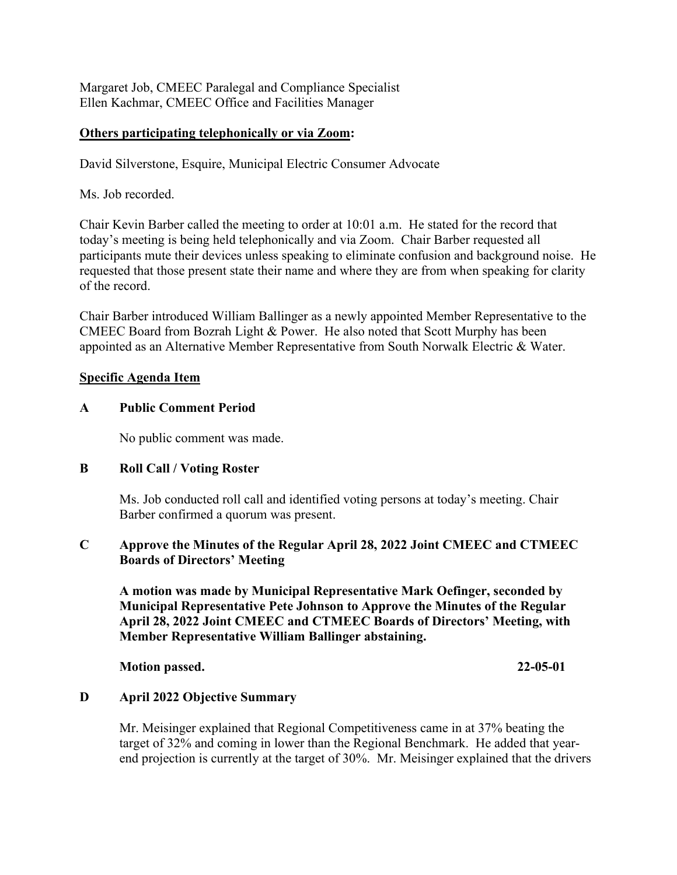Margaret Job, CMEEC Paralegal and Compliance Specialist Ellen Kachmar, CMEEC Office and Facilities Manager

## **Others participating telephonically or via Zoom:**

David Silverstone, Esquire, Municipal Electric Consumer Advocate

Ms. Job recorded.

Chair Kevin Barber called the meeting to order at 10:01 a.m. He stated for the record that today's meeting is being held telephonically and via Zoom. Chair Barber requested all participants mute their devices unless speaking to eliminate confusion and background noise. He requested that those present state their name and where they are from when speaking for clarity of the record.

Chair Barber introduced William Ballinger as a newly appointed Member Representative to the CMEEC Board from Bozrah Light & Power. He also noted that Scott Murphy has been appointed as an Alternative Member Representative from South Norwalk Electric & Water.

## **Specific Agenda Item**

## **A Public Comment Period**

No public comment was made.

## **B Roll Call / Voting Roster**

Ms. Job conducted roll call and identified voting persons at today's meeting. Chair Barber confirmed a quorum was present.

## **C Approve the Minutes of the Regular April 28, 2022 Joint CMEEC and CTMEEC Boards of Directors' Meeting**

**A motion was made by Municipal Representative Mark Oefinger, seconded by Municipal Representative Pete Johnson to Approve the Minutes of the Regular April 28, 2022 Joint CMEEC and CTMEEC Boards of Directors' Meeting, with Member Representative William Ballinger abstaining.**

**Motion passed. 22-05-01** 

# **D April 2022 Objective Summary**

Mr. Meisinger explained that Regional Competitiveness came in at 37% beating the target of 32% and coming in lower than the Regional Benchmark. He added that yearend projection is currently at the target of 30%. Mr. Meisinger explained that the drivers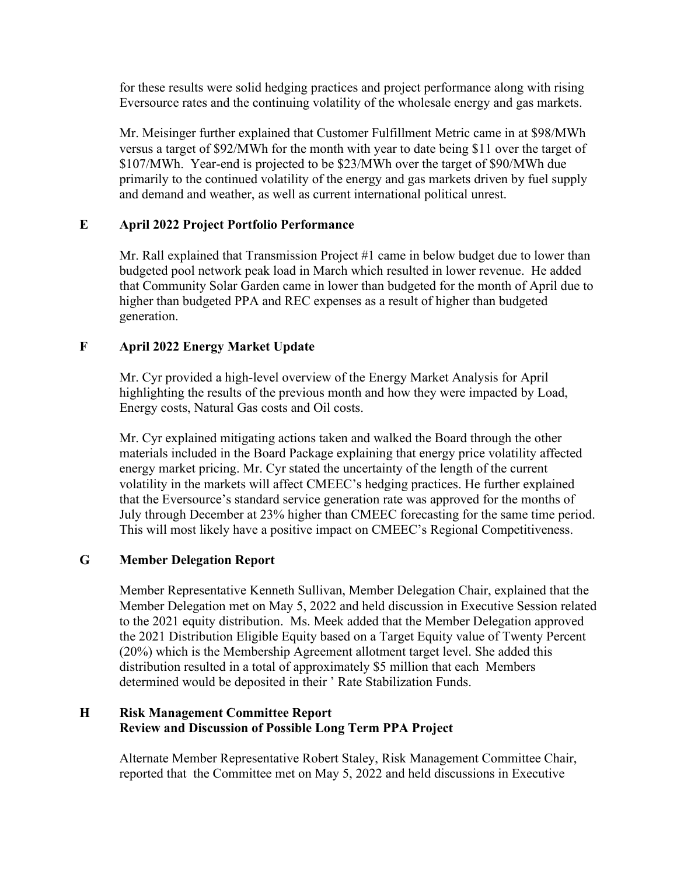for these results were solid hedging practices and project performance along with rising Eversource rates and the continuing volatility of the wholesale energy and gas markets.

Mr. Meisinger further explained that Customer Fulfillment Metric came in at \$98/MWh versus a target of \$92/MWh for the month with year to date being \$11 over the target of \$107/MWh. Year-end is projected to be \$23/MWh over the target of \$90/MWh due primarily to the continued volatility of the energy and gas markets driven by fuel supply and demand and weather, as well as current international political unrest.

# **E April 2022 Project Portfolio Performance**

Mr. Rall explained that Transmission Project #1 came in below budget due to lower than budgeted pool network peak load in March which resulted in lower revenue. He added that Community Solar Garden came in lower than budgeted for the month of April due to higher than budgeted PPA and REC expenses as a result of higher than budgeted generation.

# **F April 2022 Energy Market Update**

Mr. Cyr provided a high-level overview of the Energy Market Analysis for April highlighting the results of the previous month and how they were impacted by Load, Energy costs, Natural Gas costs and Oil costs.

Mr. Cyr explained mitigating actions taken and walked the Board through the other materials included in the Board Package explaining that energy price volatility affected energy market pricing. Mr. Cyr stated the uncertainty of the length of the current volatility in the markets will affect CMEEC's hedging practices. He further explained that the Eversource's standard service generation rate was approved for the months of July through December at 23% higher than CMEEC forecasting for the same time period. This will most likely have a positive impact on CMEEC's Regional Competitiveness.

# **G Member Delegation Report**

Member Representative Kenneth Sullivan, Member Delegation Chair, explained that the Member Delegation met on May 5, 2022 and held discussion in Executive Session related to the 2021 equity distribution. Ms. Meek added that the Member Delegation approved the 2021 Distribution Eligible Equity based on a Target Equity value of Twenty Percent (20%) which is the Membership Agreement allotment target level. She added this distribution resulted in a total of approximately \$5 million that each Members determined would be deposited in their ' Rate Stabilization Funds.

# **H Risk Management Committee Report Review and Discussion of Possible Long Term PPA Project**

Alternate Member Representative Robert Staley, Risk Management Committee Chair, reported that the Committee met on May 5, 2022 and held discussions in Executive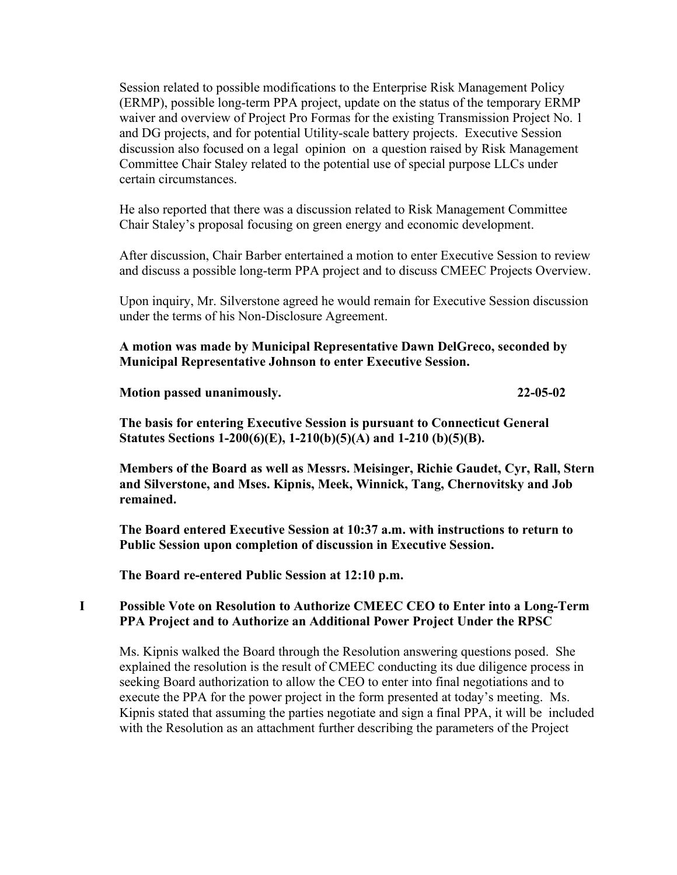Session related to possible modifications to the Enterprise Risk Management Policy (ERMP), possible long-term PPA project, update on the status of the temporary ERMP waiver and overview of Project Pro Formas for the existing Transmission Project No. 1 and DG projects, and for potential Utility-scale battery projects. Executive Session discussion also focused on a legal opinion on a question raised by Risk Management Committee Chair Staley related to the potential use of special purpose LLCs under certain circumstances.

He also reported that there was a discussion related to Risk Management Committee Chair Staley's proposal focusing on green energy and economic development.

After discussion, Chair Barber entertained a motion to enter Executive Session to review and discuss a possible long-term PPA project and to discuss CMEEC Projects Overview.

Upon inquiry, Mr. Silverstone agreed he would remain for Executive Session discussion under the terms of his Non-Disclosure Agreement.

**A motion was made by Municipal Representative Dawn DelGreco, seconded by Municipal Representative Johnson to enter Executive Session.**

**Motion passed unanimously. 22-05-02**

**The basis for entering Executive Session is pursuant to Connecticut General Statutes Sections 1-200(6)(E), 1-210(b)(5)(A) and 1-210 (b)(5)(B).**

**Members of the Board as well as Messrs. Meisinger, Richie Gaudet, Cyr, Rall, Stern and Silverstone, and Mses. Kipnis, Meek, Winnick, Tang, Chernovitsky and Job remained.**

**The Board entered Executive Session at 10:37 a.m. with instructions to return to Public Session upon completion of discussion in Executive Session.**

**The Board re-entered Public Session at 12:10 p.m.**

## **I Possible Vote on Resolution to Authorize CMEEC CEO to Enter into a Long-Term PPA Project and to Authorize an Additional Power Project Under the RPSC**

Ms. Kipnis walked the Board through the Resolution answering questions posed. She explained the resolution is the result of CMEEC conducting its due diligence process in seeking Board authorization to allow the CEO to enter into final negotiations and to execute the PPA for the power project in the form presented at today's meeting. Ms. Kipnis stated that assuming the parties negotiate and sign a final PPA, it will be included with the Resolution as an attachment further describing the parameters of the Project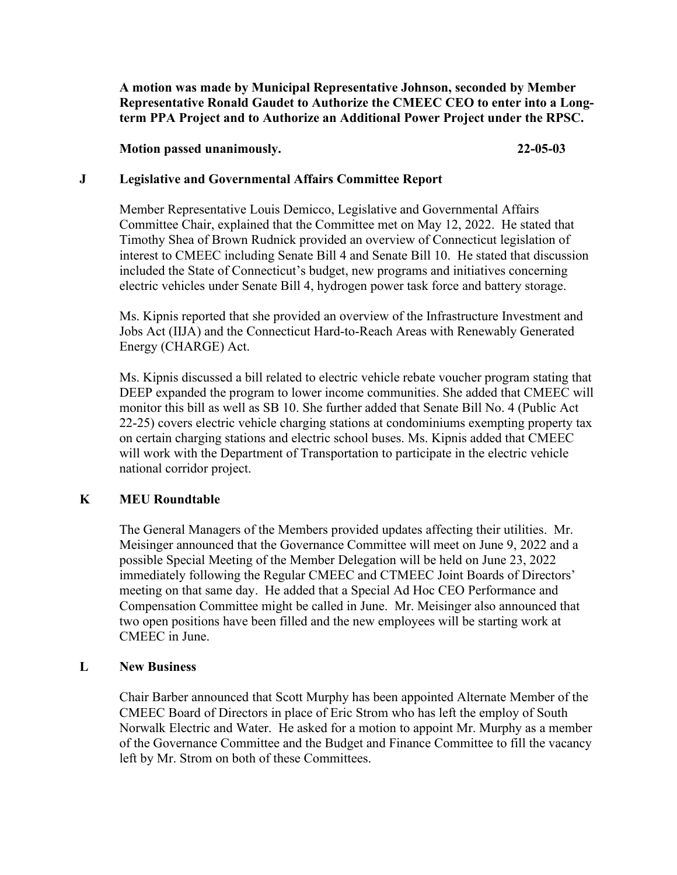**A motion was made by Municipal Representative Johnson, seconded by Member Representative Ronald Gaudet to Authorize the CMEEC CEO to enter into a Longterm PPA Project and to Authorize an Additional Power Project under the RPSC.**

#### **Motion passed unanimously. 22-05-03**

### **J Legislative and Governmental Affairs Committee Report**

Member Representative Louis Demicco, Legislative and Governmental Affairs Committee Chair, explained that the Committee met on May 12, 2022. He stated that Timothy Shea of Brown Rudnick provided an overview of Connecticut legislation of interest to CMEEC including Senate Bill 4 and Senate Bill 10. He stated that discussion included the State of Connecticut's budget, new programs and initiatives concerning electric vehicles under Senate Bill 4, hydrogen power task force and battery storage.

Ms. Kipnis reported that she provided an overview of the Infrastructure Investment and Jobs Act (IIJA) and the Connecticut Hard-to-Reach Areas with Renewably Generated Energy (CHARGE) Act.

Ms. Kipnis discussed a bill related to electric vehicle rebate voucher program stating that DEEP expanded the program to lower income communities. She added that CMEEC will monitor this bill as well as SB 10. She further added that Senate Bill No. 4 (Public Act 22-25) covers electric vehicle charging stations at condominiums exempting property tax on certain charging stations and electric school buses. Ms. Kipnis added that CMEEC will work with the Department of Transportation to participate in the electric vehicle national corridor project.

## **K MEU Roundtable**

The General Managers of the Members provided updates affecting their utilities. Mr. Meisinger announced that the Governance Committee will meet on June 9, 2022 and a possible Special Meeting of the Member Delegation will be held on June 23, 2022 immediately following the Regular CMEEC and CTMEEC Joint Boards of Directors' meeting on that same day. He added that a Special Ad Hoc CEO Performance and Compensation Committee might be called in June. Mr. Meisinger also announced that two open positions have been filled and the new employees will be starting work at CMEEC in June.

## **L New Business**

Chair Barber announced that Scott Murphy has been appointed Alternate Member of the CMEEC Board of Directors in place of Eric Strom who has left the employ of South Norwalk Electric and Water. He asked for a motion to appoint Mr. Murphy as a member of the Governance Committee and the Budget and Finance Committee to fill the vacancy left by Mr. Strom on both of these Committees.